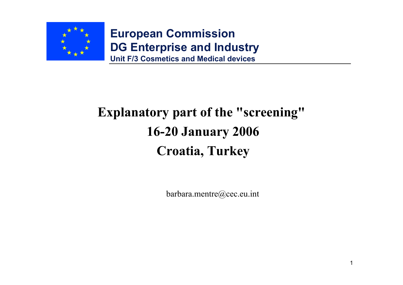

#### **Explanatory part of the "screening" 16-20 January 2006 Croatia, Turkey**

barbara.mentre@cec.eu.int

1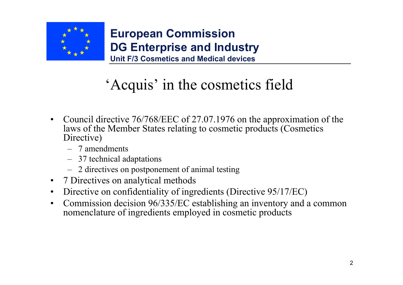

# 'Acquis' in the cosmetics field

- • Council directive 76/768/EEC of 27.07.1976 on the approximation of the laws of the Member States relating to cosmetic products (Cosmetics Directive)
	- 7 amendments
	- 37 technical adaptations
	- 2 directives on postponement of animal testing
- 7 Directives on analytical methods
- •Directive on confidentiality of ingredients (Directive 95/17/EC)
- • Commission decision 96/335/EC establishing an inventory and a common nomenclature of ingredients employed in cosmetic products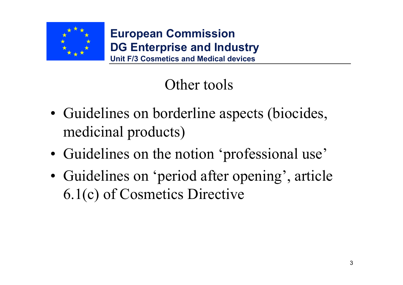

#### Other tools

- Guidelines on borderline aspects (biocides, medicinal products)
- Guidelines on the notion 'professional use'
- Guidelines on 'period after opening', article 6.1(c) of Cosmetics Directive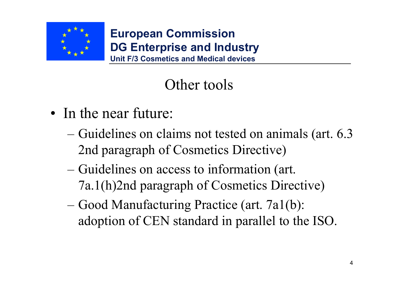

#### Other tools

- In the near future:
	- Guidelines on claims not tested on animals (art. 6.3 2nd paragraph of Cosmetics Directive)
	- Guidelines on access to information (art. 7a.1(h)2nd paragraph of Cosmetics Directive)
	- Good Manufacturing Practice (art. 7a1(b): adoption of CEN standard in parallel to the ISO.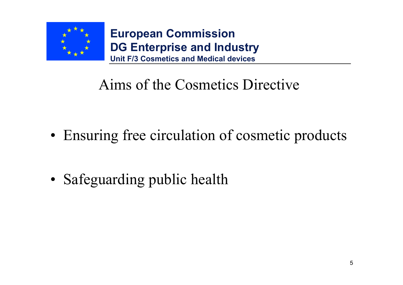

#### Aims of the Cosmetics Directive

• Ensuring free circulation of cosmetic products

• Safeguarding public health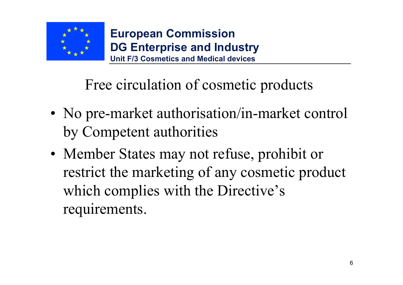

Free circulation of cosmetic products

- No pre-market authorisation/in-market control by Competent authorities
- Member States may not refuse, prohibit or restrict the marketing of any cosmetic product which complies with the Directive's requirements.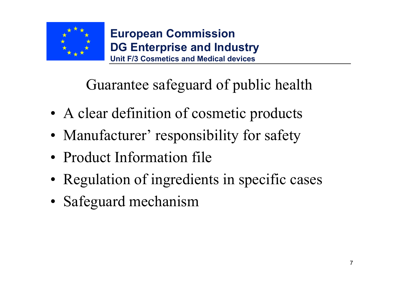

Guarantee safeguard of public health

- A clear definition of cosmetic products
- Manufacturer' responsibility for safety
- Product Information file
- Regulation of ingredients in specific cases
- Safeguard mechanism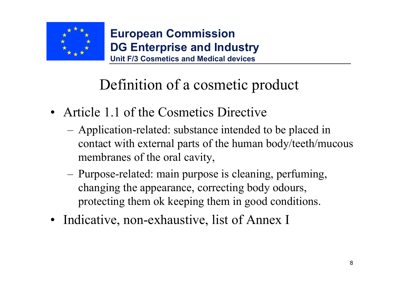

## Definition of a cosmetic product

- Article 1.1 of the Cosmetics Directive
	- Application-related: substance intended to be placed in contact with external parts of the human body/teeth/mucous membranes of the oral cavity,
	- Purpose-related: main purpose is cleaning, perfuming, changing the appearance, correcting body odours, protecting them ok keeping them in good conditions.
- Indicative, non-exhaustive, list of Annex I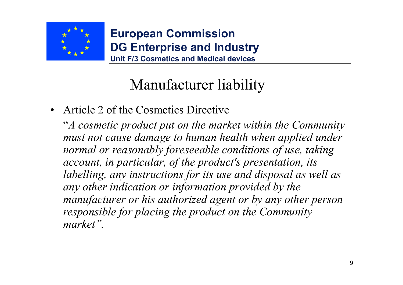

## Manufacturer liability

• Article 2 of the Cosmetics Directive

"*A cosmetic product put on the market within the Community must not cause damage to human health when applied under normal or reasonably foreseeable conditions of use, taking account, in particular, of the product's presentation, its labelling, any instructions for its use and disposal as well as any other indication or information provided by the manufacturer or his authorized agent or by any other person responsible for placing the product on the Community market".*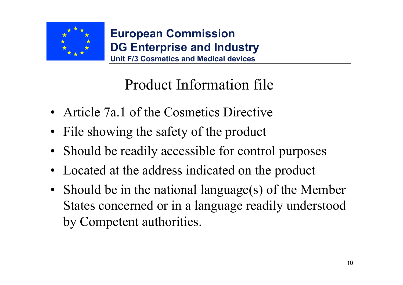

### Product Information file

- Article 7a.1 of the Cosmetics Directive
- File showing the safety of the product
- Should be readily accessible for control purposes
- Located at the address indicated on the product
- Should be in the national language(s) of the Member States concerned or in a language readily understood by Competent authorities.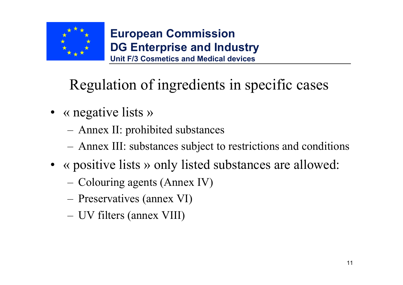

## Regulation of ingredients in specific cases

- « negative lists »
	- Annex II: prohibited substances
	- Annex III: substances subject to restrictions and conditions
- « positive lists » only listed substances are allowed:
	- Colouring agents (Annex IV)
	- Preservatives (annex VI)
	- UV filters (annex VIII)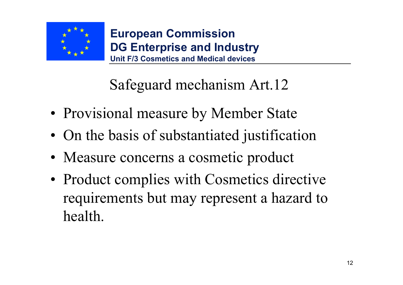

#### Safeguard mechanism Art.12

- Provisional measure by Member State
- On the basis of substantiated justification
- Measure concerns a cosmetic product
- Product complies with Cosmetics directive requirements but may represent a hazard to health.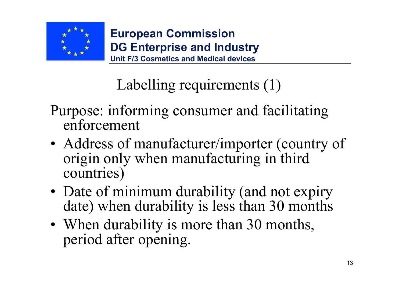

# Labelling requirements (1)

- Purpose: informing consumer and facilitating enforcement
- Address of manufacturer/importer (country of origin only when manufacturing in third countries)
- Date of minimum durability (and not expiry date) when durability is less than 30 months
- When durability is more than 30 months, period after opening.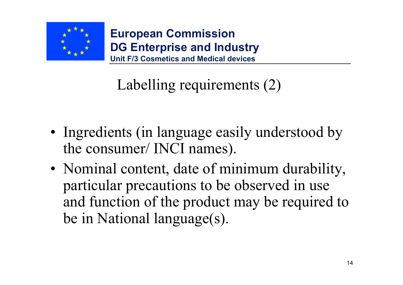

# Labelling requirements (2)

- Ingredients (in language easily understood by the consumer/ INCI names).
- Nominal content, date of minimum durability, particular precautions to be observed in use and function of the product may be required to be in National language(s).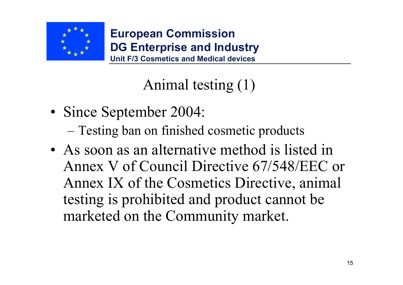

### Animal testing (1)

- Since September 2004:
	- Testing ban on finished cosmetic products
- As soon as an alternative method is listed in Annex V of Council Directive 67/548/EEC or Annex IX of the Cosmetics Directive, animal testing is prohibited and product cannot be marketed on the Community market.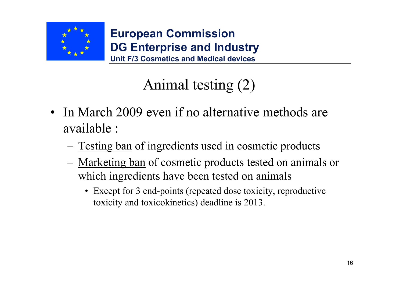

## Animal testing (2)

- In March 2009 even if no alternative methods are available :
	- Testing ban of ingredients used in cosmetic products
	- Marketing ban of cosmetic products tested on animals or which ingredients have been tested on animals
		- Except for 3 end-points (repeated dose toxicity, reproductive toxicity and toxicokinetics) deadline is 2013.